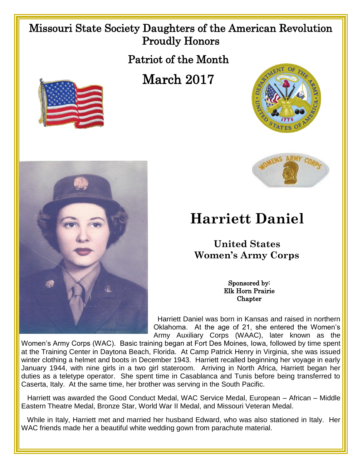## Missouri State Society Daughters of the American Revolution Proudly Honors

Patriot of the Month

March 2017





## **Harriett Daniel**

**United States Women's Army Corps**

> Sponsored by: Elk Horn Prairie **Chapter**

 Harriett Daniel was born in Kansas and raised in northern Oklahoma. At the age of 21, she entered the Women's Army Auxiliary Corps (WAAC), later known as the

Women's Army Corps (WAC). Basic training began at Fort Des Moines, Iowa, followed by time spent at the Training Center in Daytona Beach, Florida. At Camp Patrick Henry in Virginia, she was issued winter clothing a helmet and boots in December 1943. Harriett recalled beginning her voyage in early January 1944, with nine girls in a two girl stateroom. Arriving in North Africa, Harriett began her duties as a teletype operator. She spent time in Casablanca and Tunis before being transferred to Caserta, Italy. At the same time, her brother was serving in the South Pacific.

 Harriett was awarded the Good Conduct Medal, WAC Service Medal, European – African – Middle Eastern Theatre Medal, Bronze Star, World War II Medal, and Missouri Veteran Medal.

While in Italy, Harriett met and married her husband Edward, who was also stationed in Italy. Her WAC friends made her a beautiful white wedding gown from parachute material.